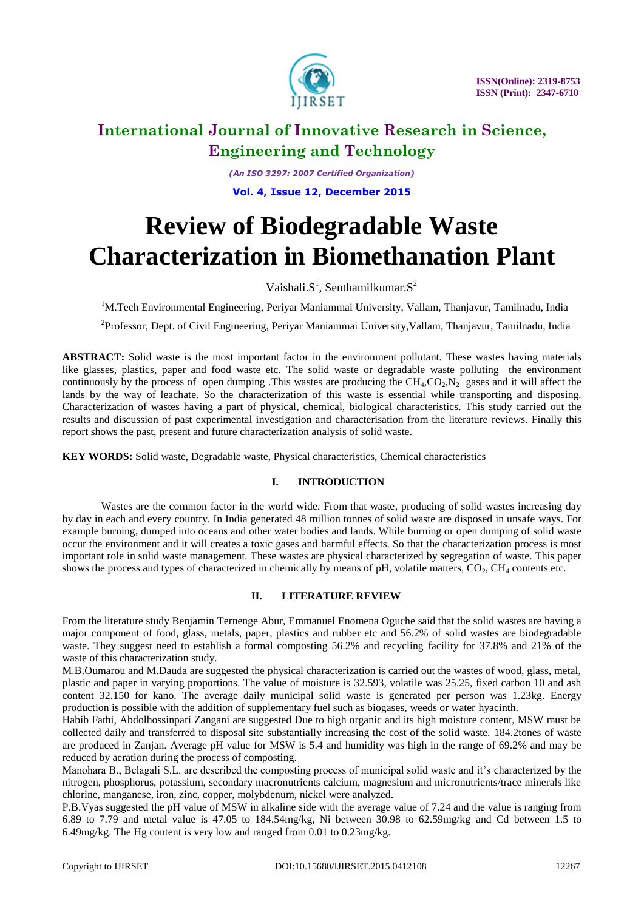

# **International Journal of Innovative Research in Science, Engineering and Technology**

*(An ISO 3297: 2007 Certified Organization)* **Vol. 4, Issue 12, December 2015**

# **Review of Biodegradable Waste Characterization in Biomethanation Plant**

Vaishali. $S^1$ , Senthamilkumar. $S^2$ 

<sup>1</sup>M.Tech Environmental Engineering, Periyar Maniammai University, Vallam, Thanjavur, Tamilnadu, India <sup>2</sup>Professor, Dept. of Civil Engineering, Periyar Maniammai University, Vallam, Thanjavur, Tamilnadu, India

**ABSTRACT:** Solid waste is the most important factor in the environment pollutant. These wastes having materials like glasses, plastics, paper and food waste etc. The solid waste or degradable waste polluting the environment continuously by the process of open dumping . This wastes are producing the  $CH_4, CO_2, N_2$  gases and it will affect the lands by the way of leachate. So the characterization of this waste is essential while transporting and disposing. Characterization of wastes having a part of physical, chemical, biological characteristics. This study carried out the results and discussion of past experimental investigation and characterisation from the literature reviews. Finally this report shows the past, present and future characterization analysis of solid waste.

**KEY WORDS:** Solid waste, Degradable waste, Physical characteristics, Chemical characteristics

# **I. INTRODUCTION**

Wastes are the common factor in the world wide. From that waste, producing of solid wastes increasing day by day in each and every country. In India generated 48 million tonnes of solid waste are disposed in unsafe ways. For example burning, dumped into oceans and other water bodies and lands. While burning or open dumping of solid waste occur the environment and it will creates a toxic gases and harmful effects. So that the characterization process is most important role in solid waste management. These wastes are physical characterized by segregation of waste. This paper shows the process and types of characterized in chemically by means of pH, volatile matters,  $CO<sub>2</sub>$ ,  $CH<sub>4</sub>$  contents etc.

# **II. LITERATURE REVIEW**

From the literature study Benjamin Ternenge Abur, Emmanuel Enomena Oguche said that the solid wastes are having a major component of food, glass, metals, paper, plastics and rubber etc and 56.2% of solid wastes are biodegradable waste. They suggest need to establish a formal composting 56.2% and recycling facility for 37.8% and 21% of the waste of this characterization study.

M.B.Oumarou and M.Dauda are suggested the physical characterization is carried out the wastes of wood, glass, metal, plastic and paper in varying proportions. The value of moisture is 32.593, volatile was 25.25, fixed carbon 10 and ash content 32.150 for kano. The average daily municipal solid waste is generated per person was 1.23kg. Energy production is possible with the addition of supplementary fuel such as biogases, weeds or water hyacinth.

Habib Fathi, Abdolhossinpari Zangani are suggested Due to high organic and its high moisture content, MSW must be collected daily and transferred to disposal site substantially increasing the cost of the solid waste. 184.2tones of waste are produced in Zanjan. Average pH value for MSW is 5.4 and humidity was high in the range of 69.2% and may be reduced by aeration during the process of composting.

Manohara B., Belagali S.L. are described the composting process of municipal solid waste and it's characterized by the nitrogen, phosphorus, potassium, secondary macronutrients calcium, magnesium and micronutrients/trace minerals like chlorine, manganese, iron, zinc, copper, molybdenum, nickel were analyzed.

P.B.Vyas suggested the pH value of MSW in alkaline side with the average value of 7.24 and the value is ranging from 6.89 to 7.79 and metal value is 47.05 to 184.54mg/kg, Ni between 30.98 to 62.59mg/kg and Cd between 1.5 to 6.49mg/kg. The Hg content is very low and ranged from 0.01 to 0.23mg/kg.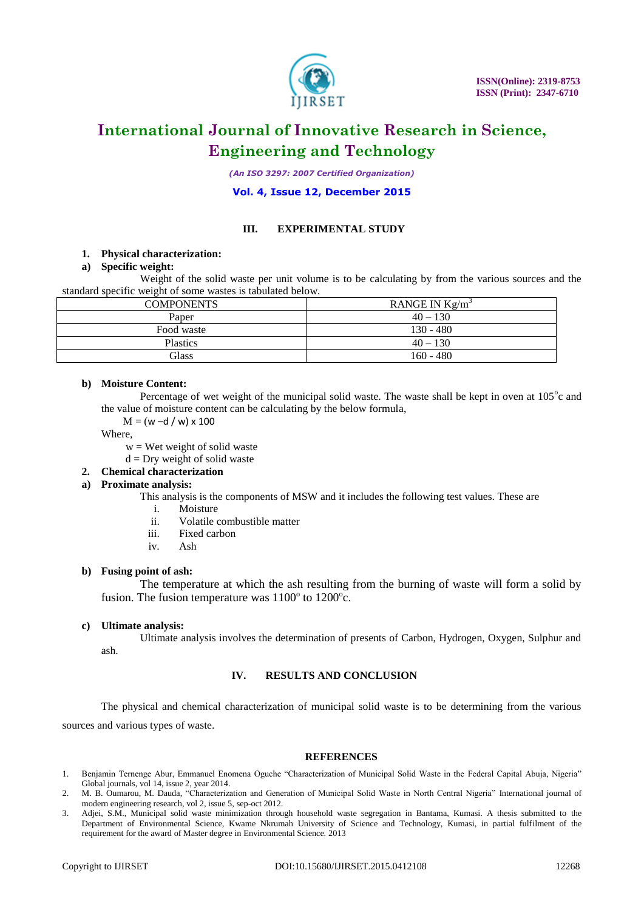

# **International Journal of Innovative Research in Science, Engineering and Technology**

*(An ISO 3297: 2007 Certified Organization)*

### **Vol. 4, Issue 12, December 2015**

#### **III. EXPERIMENTAL STUDY**

#### **1. Physical characterization:**

#### **a) Specific weight:**

Weight of the solid waste per unit volume is to be calculating by from the various sources and the standard specific weight of some wastes is tabulated below.

| <b>COMPONENTS</b> | RANGE IN $Kg/m3$ |
|-------------------|------------------|
| Paper             | $40 - 130$       |
| Food waste        | $130 - 480$      |
| <b>Plastics</b>   | $40 - 130$       |
| Glass             | $160 - 480$      |

#### **b) Moisture Content:**

Percentage of wet weight of the municipal solid waste. The waste shall be kept in oven at  $105^{\circ}$ c and the value of moisture content can be calculating by the below formula,

 $M = (w - d / w) \times 100$ 

Where,

 $w = W$ et weight of solid waste

 $d = Dry$  weight of solid waste

## **2. Chemical characterization**

## **a) Proximate analysis:**

This analysis is the components of MSW and it includes the following test values. These are

- i. Moisture
- ii. Volatile combustible matter
- iii. Fixed carbon
- iv. Ash

#### **b) Fusing point of ash:**

The temperature at which the ash resulting from the burning of waste will form a solid by fusion. The fusion temperature was  $1100^\circ$  to  $1200^\circ$ c.

#### **c) Ultimate analysis:**

Ultimate analysis involves the determination of presents of Carbon, Hydrogen, Oxygen, Sulphur and ash.

#### **IV. RESULTS AND CONCLUSION**

The physical and chemical characterization of municipal solid waste is to be determining from the various sources and various types of waste.

#### **REFERENCES**

- 1. Benjamin Ternenge Abur, Emmanuel Enomena Oguche "Characterization of Municipal Solid Waste in the Federal Capital Abuja, Nigeria" Global journals, vol 14, issue 2, year 2014.
- 2. M. B. Oumarou, M. Dauda, "Characterization and Generation of Municipal Solid Waste in North Central Nigeria" International journal of modern engineering research, vol 2, issue 5, sep-oct 2012.
- 3. Adjei, S.M., Municipal solid waste minimization through household waste segregation in Bantama, Kumasi. A thesis submitted to the Department of Environmental Science, Kwame Nkrumah University of Science and Technology, Kumasi, in partial fulfilment of the requirement for the award of Master degree in Environmental Science. 2013